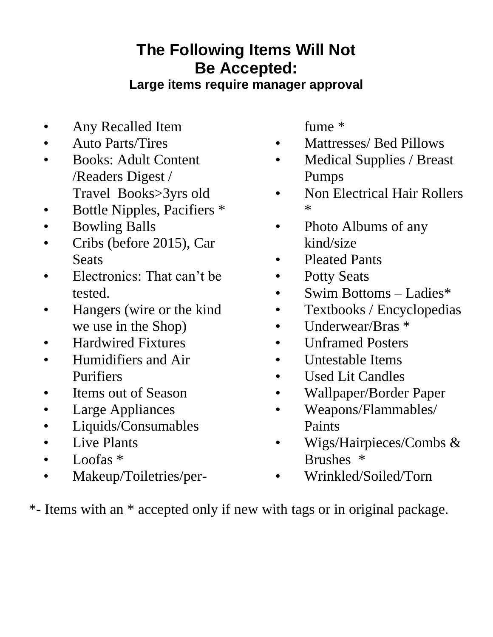## **The Following Items Will Not Be Accepted:**

**Large items require manager approval**

- Any Recalled Item
- Auto Parts/Tires
- Books: Adult Content /Readers Digest / Travel Books>3yrs old
- Bottle Nipples, Pacifiers \*
- Bowling Balls
- Cribs (before 2015), Car **Seats**
- Electronics: That can't be tested.
- Hangers (wire or the kind we use in the Shop)
- Hardwired Fixtures
- Humidifiers and Air Purifiers
- Items out of Season
- Large Appliances
- Liquids/Consumables
- Live Plants
- Loofas \*
- Makeup/Toiletries/per-

fume \*

- Mattresses/ Bed Pillows
- Medical Supplies / Breast Pumps
- Non Electrical Hair Rollers \*
- Photo Albums of any kind/size
- Pleated Pants
- Potty Seats
- Swim Bottoms Ladies\*
- Textbooks / Encyclopedias
- Underwear/Bras \*
- Unframed Posters
- Untestable Items
- Used Lit Candles
- Wallpaper/Border Paper
- Weapons/Flammables/ Paints
- Wigs/Hairpieces/Combs & Brushes \*
- Wrinkled/Soiled/Torn
- \*- Items with an \* accepted only if new with tags or in original package.